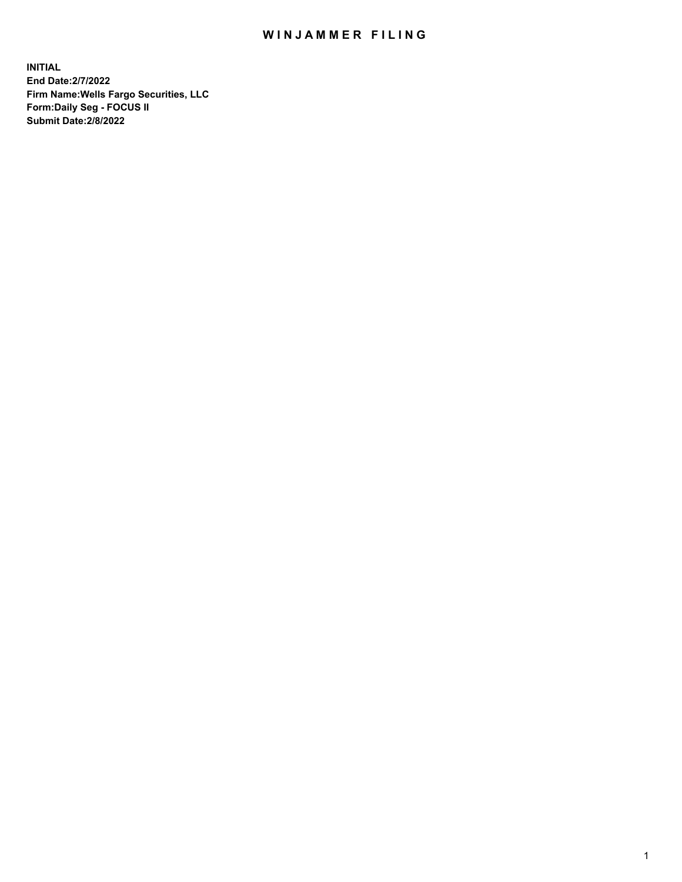## WIN JAMMER FILING

**INITIAL End Date:2/7/2022 Firm Name:Wells Fargo Securities, LLC Form:Daily Seg - FOCUS II Submit Date:2/8/2022**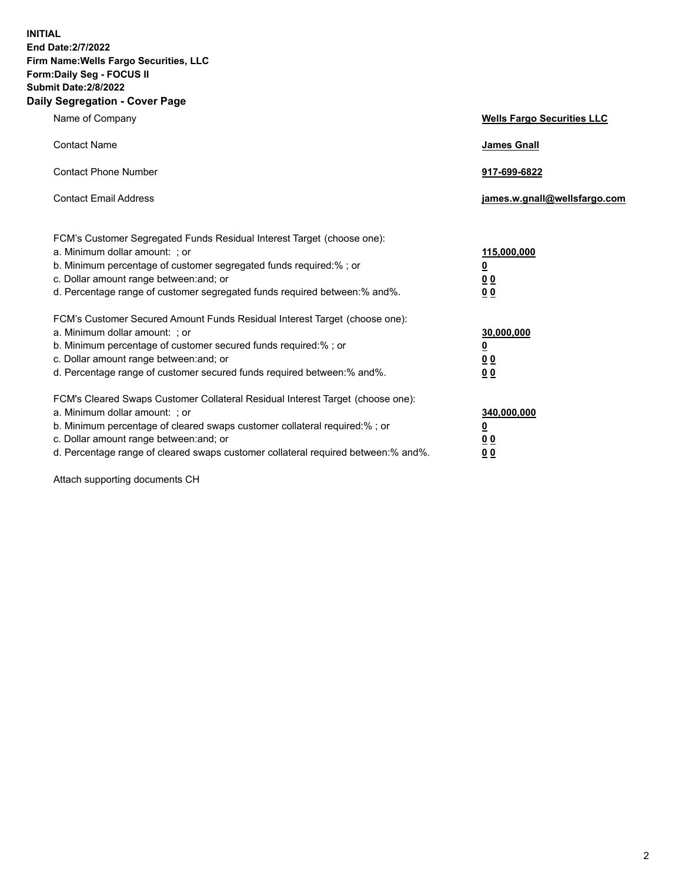**INITIAL End Date:2/7/2022 Firm Name:Wells Fargo Securities, LLC Form:Daily Seg - FOCUS II Submit Date:2/8/2022 Daily Segregation - Cover Page**

| Name of Company                                                                                                                                                                                                                                                                                                                | <b>Wells Fargo Securities LLC</b>                          |
|--------------------------------------------------------------------------------------------------------------------------------------------------------------------------------------------------------------------------------------------------------------------------------------------------------------------------------|------------------------------------------------------------|
| <b>Contact Name</b>                                                                                                                                                                                                                                                                                                            | <b>James Gnall</b>                                         |
| <b>Contact Phone Number</b>                                                                                                                                                                                                                                                                                                    | 917-699-6822                                               |
| <b>Contact Email Address</b>                                                                                                                                                                                                                                                                                                   | james.w.gnall@wellsfargo.com                               |
| FCM's Customer Segregated Funds Residual Interest Target (choose one):<br>a. Minimum dollar amount: ; or<br>b. Minimum percentage of customer segregated funds required:%; or<br>c. Dollar amount range between: and; or<br>d. Percentage range of customer segregated funds required between:% and%.                          | 115,000,000<br><u>0</u><br>00<br>00                        |
| FCM's Customer Secured Amount Funds Residual Interest Target (choose one):<br>a. Minimum dollar amount: ; or<br>b. Minimum percentage of customer secured funds required:%; or<br>c. Dollar amount range between: and; or<br>d. Percentage range of customer secured funds required between:% and%.                            | 30,000,000<br><u>0</u><br>0 <sub>0</sub><br>0 <sub>0</sub> |
| FCM's Cleared Swaps Customer Collateral Residual Interest Target (choose one):<br>a. Minimum dollar amount: ; or<br>b. Minimum percentage of cleared swaps customer collateral required:% ; or<br>c. Dollar amount range between: and; or<br>d. Percentage range of cleared swaps customer collateral required between:% and%. | 340,000,000<br><u>0</u><br>0 <sub>0</sub><br>00            |

Attach supporting documents CH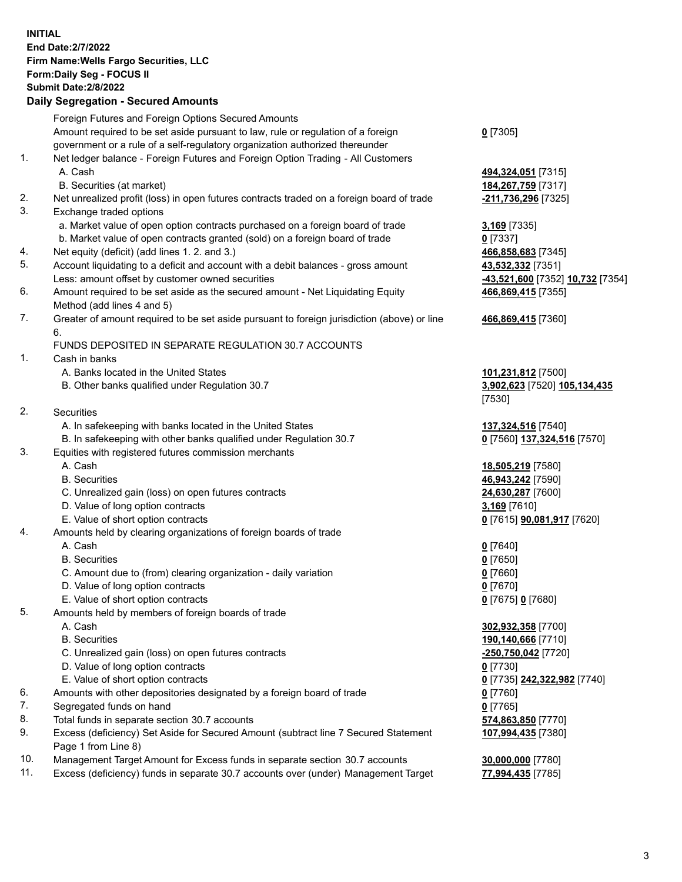**INITIAL End Date:2/7/2022 Firm Name:Wells Fargo Securities, LLC Form:Daily Seg - FOCUS II Submit Date:2/8/2022 Daily Segregation - Secured Amounts**

Foreign Futures and Foreign Options Secured Amounts Amount required to be set aside pursuant to law, rule or regulation of a foreign government or a rule of a self-regulatory organization authorized thereunder **0** [7305] 1. Net ledger balance - Foreign Futures and Foreign Option Trading - All Customers A. Cash **494,324,051** [7315] B. Securities (at market) **184,267,759** [7317] 2. Net unrealized profit (loss) in open futures contracts traded on a foreign board of trade **-211,736,296** [7325] 3. Exchange traded options a. Market value of open option contracts purchased on a foreign board of trade **3,169** [7335] b. Market value of open contracts granted (sold) on a foreign board of trade **0** [7337] 4. Net equity (deficit) (add lines 1. 2. and 3.) **466,858,683** [7345] 5. Account liquidating to a deficit and account with a debit balances - gross amount **43,532,332** [7351] Less: amount offset by customer owned securities **-43,521,600** [7352] **10,732** [7354] 6. Amount required to be set aside as the secured amount - Net Liquidating Equity Method (add lines 4 and 5) 7. Greater of amount required to be set aside pursuant to foreign jurisdiction (above) or line 6. FUNDS DEPOSITED IN SEPARATE REGULATION 30.7 ACCOUNTS 1. Cash in banks A. Banks located in the United States **101,231,812** [7500] B. Other banks qualified under Regulation 30.7 **3,902,623** [7520] **105,134,435** [7530] 2. Securities A. In safekeeping with banks located in the United States **137,324,516** [7540] B. In safekeeping with other banks qualified under Regulation 30.7 **0** [7560] **137,324,516** [7570] 3. Equities with registered futures commission merchants A. Cash **18,505,219** [7580] B. Securities **46,943,242** [7590] C. Unrealized gain (loss) on open futures contracts **24,630,287** [7600] D. Value of long option contracts **3,169** [7610] E. Value of short option contracts **0** [7615] **90,081,917** [7620] 4. Amounts held by clearing organizations of foreign boards of trade A. Cash **0** [7640] B. Securities **0** [7650] C. Amount due to (from) clearing organization - daily variation **0** [7660] D. Value of long option contracts **0** [7670] E. Value of short option contracts **0** [7675] **0** [7680]

- 5. Amounts held by members of foreign boards of trade
	-
	-
	- C. Unrealized gain (loss) on open futures contracts **-250,750,042** [7720]
	- D. Value of long option contracts **0** [7730]
	- E. Value of short option contracts **0** [7735] **242,322,982** [7740]
- 6. Amounts with other depositories designated by a foreign board of trade **0** [7760]
- 7. Segregated funds on hand **0** [7765]
- 8. Total funds in separate section 30.7 accounts **574,863,850** [7770]
- 9. Excess (deficiency) Set Aside for Secured Amount (subtract line 7 Secured Statement Page 1 from Line 8)
- 10. Management Target Amount for Excess funds in separate section 30.7 accounts **30,000,000** [7780]
- 11. Excess (deficiency) funds in separate 30.7 accounts over (under) Management Target **77,994,435** [7785]

**466,869,415** [7355]

## **466,869,415** [7360]

 A. Cash **302,932,358** [7700] B. Securities **190,140,666** [7710] **107,994,435** [7380]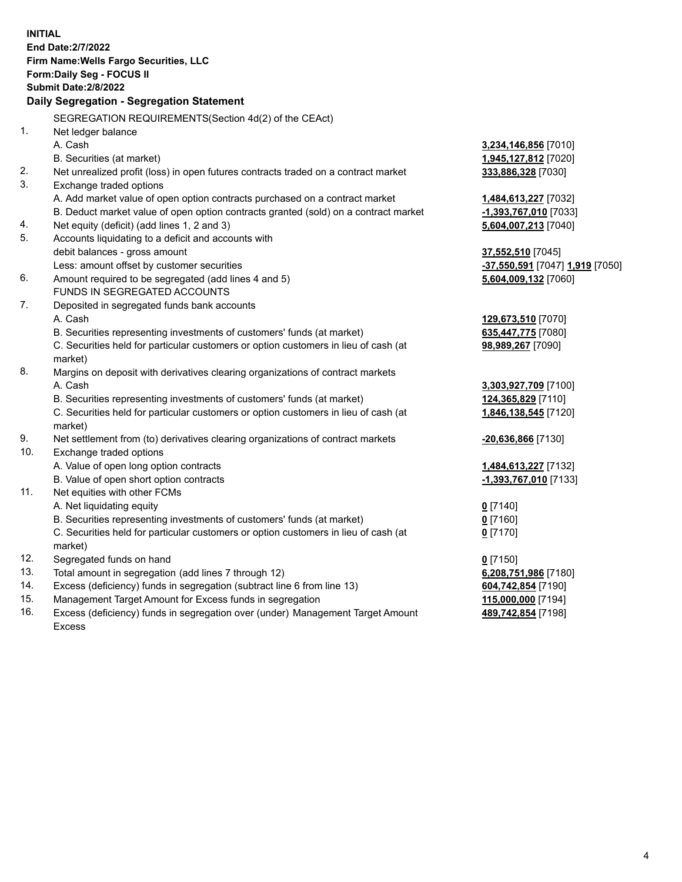|     | <b>INITIAL</b><br>End Date: 2/7/2022<br>Firm Name: Wells Fargo Securities, LLC<br>Form: Daily Seg - FOCUS II<br><b>Submit Date:2/8/2022</b><br>Daily Segregation - Segregation Statement |                                              |
|-----|------------------------------------------------------------------------------------------------------------------------------------------------------------------------------------------|----------------------------------------------|
|     | SEGREGATION REQUIREMENTS(Section 4d(2) of the CEAct)                                                                                                                                     |                                              |
| 1.  | Net ledger balance                                                                                                                                                                       |                                              |
|     | A. Cash                                                                                                                                                                                  | 3,234,146,856 [7010]                         |
|     | B. Securities (at market)                                                                                                                                                                | 1,945,127,812 [7020]                         |
| 2.  | Net unrealized profit (loss) in open futures contracts traded on a contract market                                                                                                       | 333,886,328 [7030]                           |
| 3.  | Exchange traded options                                                                                                                                                                  |                                              |
|     | A. Add market value of open option contracts purchased on a contract market                                                                                                              | 1,484,613,227 [7032]                         |
|     | B. Deduct market value of open option contracts granted (sold) on a contract market                                                                                                      | -1,393,767,010 [7033]                        |
| 4.  | Net equity (deficit) (add lines 1, 2 and 3)                                                                                                                                              | 5,604,007,213 [7040]                         |
| 5.  | Accounts liquidating to a deficit and accounts with                                                                                                                                      |                                              |
|     | debit balances - gross amount                                                                                                                                                            | 37,552,510 [7045]                            |
|     | Less: amount offset by customer securities                                                                                                                                               | <mark>-37,550,591</mark> [7047] 1,919 [7050] |
| 6.  | Amount required to be segregated (add lines 4 and 5)                                                                                                                                     | 5,604,009,132 [7060]                         |
|     | FUNDS IN SEGREGATED ACCOUNTS                                                                                                                                                             |                                              |
| 7.  | Deposited in segregated funds bank accounts                                                                                                                                              |                                              |
|     | A. Cash                                                                                                                                                                                  | 129,673,510 [7070]                           |
|     | B. Securities representing investments of customers' funds (at market)                                                                                                                   | 635,447,775 [7080]                           |
|     | C. Securities held for particular customers or option customers in lieu of cash (at<br>market)                                                                                           | 98,989,267 [7090]                            |
| 8.  | Margins on deposit with derivatives clearing organizations of contract markets                                                                                                           |                                              |
|     | A. Cash                                                                                                                                                                                  | 3,303,927,709 [7100]                         |
|     | B. Securities representing investments of customers' funds (at market)                                                                                                                   | 124,365,829 [7110]                           |
|     | C. Securities held for particular customers or option customers in lieu of cash (at<br>market)                                                                                           | 1,846,138,545 [7120]                         |
| 9.  | Net settlement from (to) derivatives clearing organizations of contract markets                                                                                                          | -20,636,866 [7130]                           |
| 10. | Exchange traded options                                                                                                                                                                  |                                              |
|     | A. Value of open long option contracts                                                                                                                                                   | 1,484,613,227 [7132]                         |
|     | B. Value of open short option contracts                                                                                                                                                  | -1,393,767,010 [7133]                        |
| 11. | Net equities with other FCMs                                                                                                                                                             |                                              |
|     | A. Net liquidating equity                                                                                                                                                                | $0$ [7140]                                   |
|     | B. Securities representing investments of customers' funds (at market)                                                                                                                   | $0$ [7160]                                   |
|     | C. Securities held for particular customers or option customers in lieu of cash (at<br>market)                                                                                           | $0$ [7170]                                   |
| 12. | Segregated funds on hand                                                                                                                                                                 | $0$ [7150]                                   |
| 13. | Total amount in segregation (add lines 7 through 12)                                                                                                                                     | 6,208,751,986 [7180]                         |
| 14. | Excess (deficiency) funds in segregation (subtract line 6 from line 13)                                                                                                                  | 604,742,854 [7190]                           |
| 15. | Management Target Amount for Excess funds in segregation                                                                                                                                 | 115,000,000 [7194]                           |
| 16. | Excess (deficiency) funds in segregation over (under) Management Target Amount                                                                                                           | 489,742,854 [7198]                           |
|     | Excess                                                                                                                                                                                   |                                              |